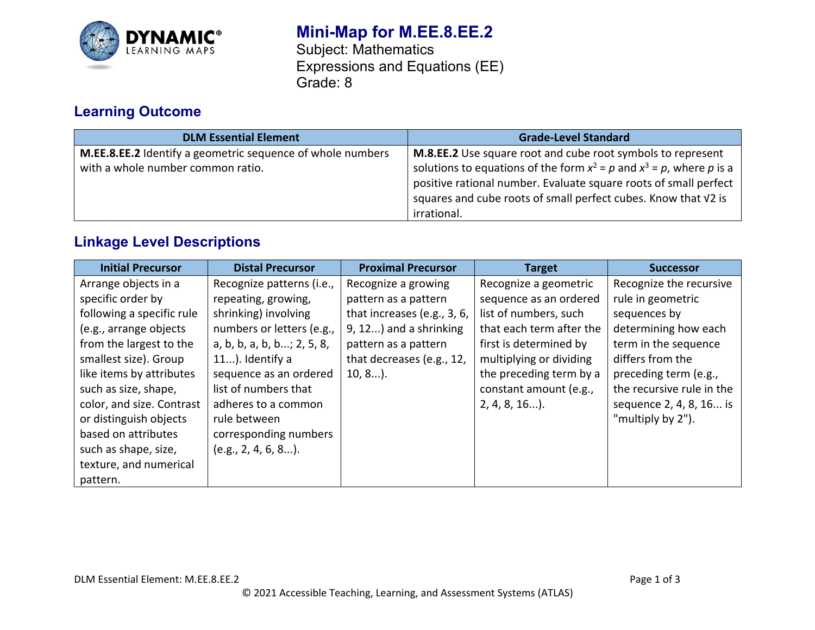

# **Mini-Map for M.EE.8.EE.2**

Subject: Mathematics Expressions and Equations (EE) Grade: 8

# **Learning Outcome**

| <b>DLM Essential Element</b>                                                                    | <b>Grade-Level Standard</b>                                                                                                                                                                                                                                                                   |
|-------------------------------------------------------------------------------------------------|-----------------------------------------------------------------------------------------------------------------------------------------------------------------------------------------------------------------------------------------------------------------------------------------------|
| M.EE.8.EE.2 Identify a geometric sequence of whole numbers<br>with a whole number common ratio. | M.8.EE.2 Use square root and cube root symbols to represent<br>solutions to equations of the form $x^2 = p$ and $x^3 = p$ , where p is a<br>positive rational number. Evaluate square roots of small perfect<br>squares and cube roots of small perfect cubes. Know that V2 is<br>irrational. |

# **Linkage Level Descriptions**

| <b>Initial Precursor</b>  | <b>Distal Precursor</b>    | <b>Proximal Precursor</b>   | <b>Target</b>            | <b>Successor</b>          |
|---------------------------|----------------------------|-----------------------------|--------------------------|---------------------------|
| Arrange objects in a      | Recognize patterns (i.e.,  | Recognize a growing         | Recognize a geometric    | Recognize the recursive   |
| specific order by         | repeating, growing,        | pattern as a pattern        | sequence as an ordered   | rule in geometric         |
| following a specific rule | shrinking) involving       | that increases (e.g., 3, 6, | list of numbers, such    | sequences by              |
| (e.g., arrange objects    | numbers or letters (e.g.,  | 9, 12) and a shrinking      | that each term after the | determining how each      |
| from the largest to the   | a, b, b, a, b, b; 2, 5, 8, | pattern as a pattern        | first is determined by   | term in the sequence      |
| smallest size). Group     | 11). Identify a            | that decreases (e.g., 12,   | multiplying or dividing  | differs from the          |
| like items by attributes  | sequence as an ordered     | $10, 8$ ).                  | the preceding term by a  | preceding term (e.g.,     |
| such as size, shape,      | list of numbers that       |                             | constant amount (e.g.,   | the recursive rule in the |
| color, and size. Contrast | adheres to a common        |                             | $2, 4, 8, 16$ ).         | sequence 2, 4, 8, 16 is   |
| or distinguish objects    | rule between               |                             |                          | "multiply by 2").         |
| based on attributes       | corresponding numbers      |                             |                          |                           |
| such as shape, size,      | $(e.g., 2, 4, 6, 8)$ .     |                             |                          |                           |
| texture, and numerical    |                            |                             |                          |                           |
| pattern.                  |                            |                             |                          |                           |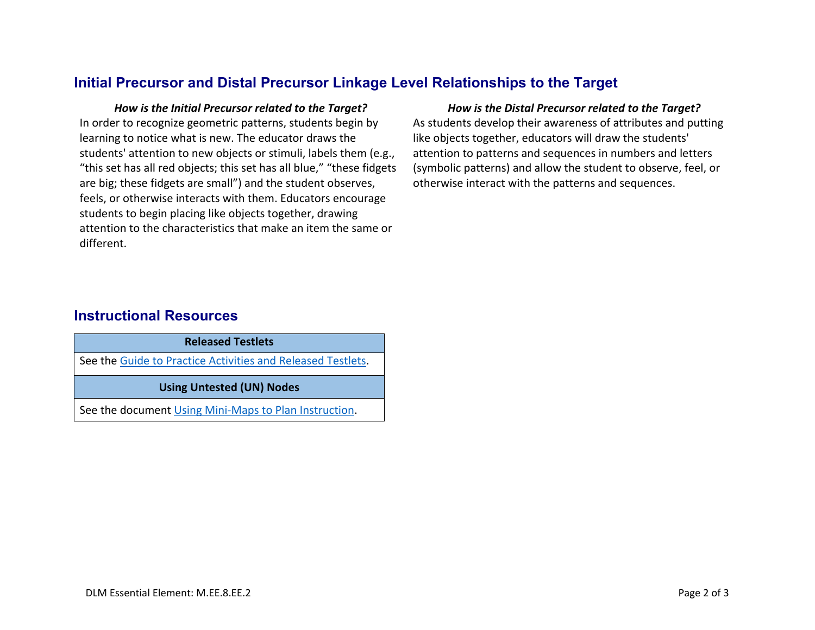## **Initial Precursor and Distal Precursor Linkage Level Relationships to the Target**

In order to recognize geometric patterns, students begin by learning to notice what is new. The educator draws the students' attention to new objects or stimuli, labels them (e.g., "this set has all red objects; this set has all blue," "these fidgets are big; these fidgets are small") and the student observes, feels, or otherwise interacts with them. Educators encourage students to begin placing like objects together, drawing attention to the characteristics that make an item the same or different.

#### *How is the Initial Precursor related to the Target? How is the Distal Precursor related to the Target?*

As students develop their awareness of attributes and putting like objects together, educators will draw the students' attention to patterns and sequences in numbers and letters (symbolic patterns) and allow the student to observe, feel, or otherwise interact with the patterns and sequences.

## **Instructional Resources**

| <b>Released Testlets</b>                                    |  |  |
|-------------------------------------------------------------|--|--|
| See the Guide to Practice Activities and Released Testlets. |  |  |
| <b>Using Untested (UN) Nodes</b>                            |  |  |
| See the document Using Mini-Maps to Plan Instruction.       |  |  |